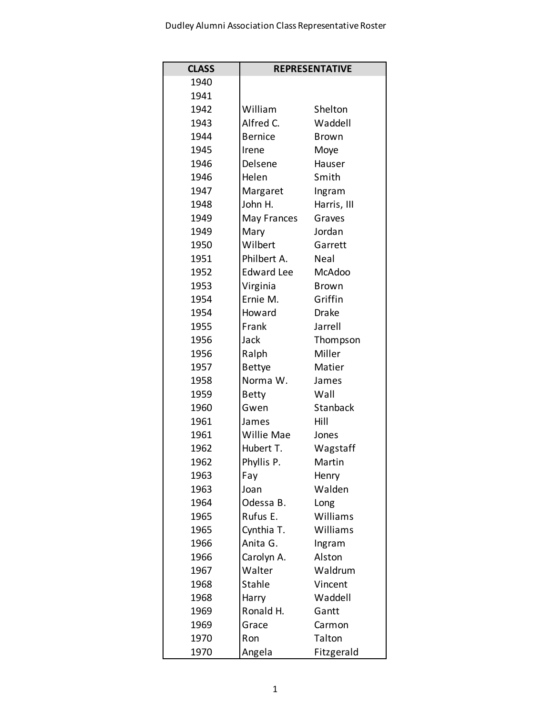| <b>CLASS</b> | <b>REPRESENTATIVE</b> |               |
|--------------|-----------------------|---------------|
| 1940         |                       |               |
| 1941         |                       |               |
| 1942         | William               | Shelton       |
| 1943         | Alfred C.             | Waddell       |
| 1944         | <b>Bernice</b>        | <b>Brown</b>  |
| 1945         | Irene                 | Moye          |
| 1946         | Delsene               | Hauser        |
| 1946         | Helen                 | Smith         |
| 1947         | Margaret              | Ingram        |
| 1948         | John H.               | Harris, III   |
| 1949         | May Frances           | Graves        |
| 1949         | Mary                  | Jordan        |
| 1950         | Wilbert               | Garrett       |
| 1951         | Philbert A.           | Neal          |
| 1952         | Edward Lee            | <b>McAdoo</b> |
| 1953         | Virginia              | <b>Brown</b>  |
| 1954         | Ernie M.              | Griffin       |
| 1954         | Howard                | <b>Drake</b>  |
| 1955         | Frank                 | Jarrell       |
| 1956         | Jack                  | Thompson      |
| 1956         | Ralph                 | Miller        |
| 1957         | <b>Bettye</b>         | Matier        |
| 1958         | Norma W.              | James         |
| 1959         | <b>Betty</b>          | Wall          |
| 1960         | Gwen                  | Stanback      |
| 1961         | James                 | Hill          |
| 1961         | Willie Mae            | Jones         |
| 1962         | Hubert T.             | Wagstaff      |
| 1962         | Phyllis P.            | Martin        |
| 1963         | Fay                   | Henry         |
| 1963         | Joan                  | Walden        |
| 1964         | Odessa B.             | Long          |
| 1965         | Rufus E.              | Williams      |
| 1965         | Cynthia T.            | Williams      |
| 1966         | Anita G.              | Ingram        |
| 1966         | Carolyn A.            | Alston        |
| 1967         | Walter                | Waldrum       |
| 1968         | <b>Stahle</b>         | Vincent       |
| 1968         | Harry                 | Waddell       |
| 1969         | Ronald H.             | Gantt         |
| 1969         | Grace                 | Carmon        |
| 1970         | Ron                   | Talton        |
| 1970         | Angela                | Fitzgerald    |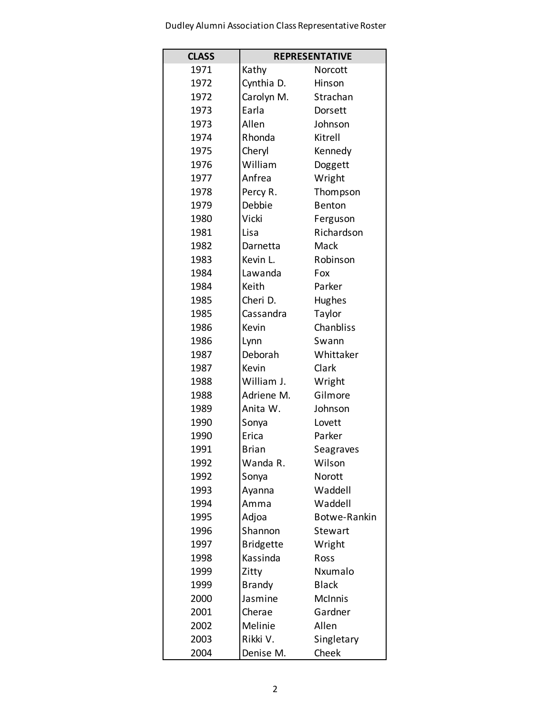Dudley Alumni Association Class Representative Roster

| <b>CLASS</b> | <b>REPRESENTATIVE</b> |                |
|--------------|-----------------------|----------------|
| 1971         | Kathy                 | Norcott        |
| 1972         | Cynthia D.            | Hinson         |
| 1972         | Carolyn M.            | Strachan       |
| 1973         | Earla                 | Dorsett        |
| 1973         | Allen                 | Johnson        |
| 1974         | Rhonda                | Kitrell        |
| 1975         | Cheryl                | Kennedy        |
| 1976         | William               | Doggett        |
| 1977         | Anfrea                | Wright         |
| 1978         | Percy R.              | Thompson       |
| 1979         | Debbie                | <b>Benton</b>  |
| 1980         | Vicki                 | Ferguson       |
| 1981         | Lisa                  | Richardson     |
| 1982         | Darnetta              | Mack           |
| 1983         | Kevin L.              | Robinson       |
| 1984         | Lawanda               | Fox            |
| 1984         | Keith                 | Parker         |
| 1985         | Cheri D.              | Hughes         |
| 1985         | Cassandra             | Taylor         |
| 1986         | Kevin                 | Chanbliss      |
| 1986         | Lynn                  | Swann          |
| 1987         | Deborah               | Whittaker      |
| 1987         | Kevin                 | Clark          |
| 1988         | William J.            | Wright         |
| 1988         | Adriene M.            | Gilmore        |
| 1989         | Anita W.              | Johnson        |
| 1990         | Sonya                 | Lovett         |
| 1990         | Erica                 | Parker         |
| 1991         | <b>Brian</b>          | Seagraves      |
| 1992         | Wanda R.              | Wilson         |
| 1992         | Sonya                 | Norott         |
| 1993         | Ayanna                | Waddell        |
| 1994         | Amma                  | Waddell        |
| 1995         | Adjoa                 | Botwe-Rankin   |
| 1996         | Shannon               | Stewart        |
| 1997         | <b>Bridgette</b>      | Wright         |
| 1998         | Kassinda              | Ross           |
| 1999         | Zitty                 | Nxumalo        |
| 1999         | <b>Brandy</b>         | <b>Black</b>   |
| 2000         | Jasmine               | <b>McInnis</b> |
| 2001         | Cherae                | Gardner        |
| 2002         | Melinie               | Allen          |
| 2003         | Rikki V.              | Singletary     |
| 2004         | Denise M.             | Cheek          |